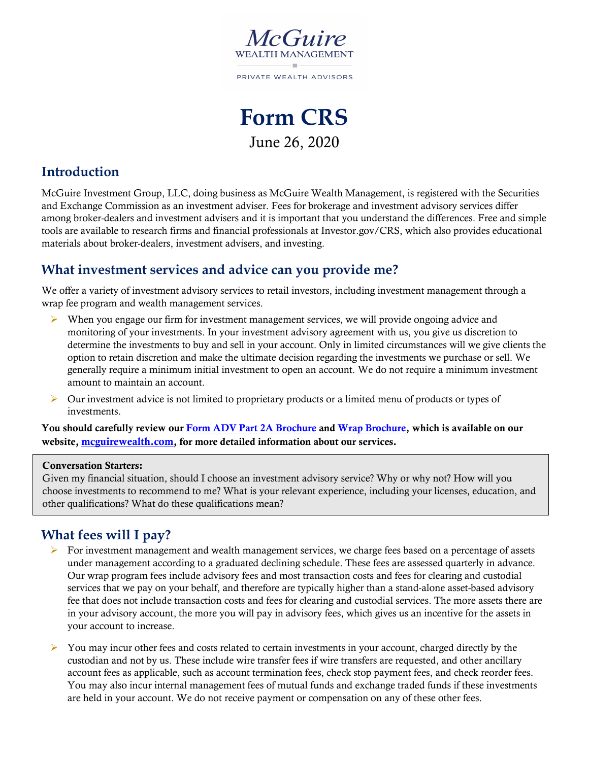

**Form CRS** June 26, 2020

### **Introduction**

McGuire Investment Group, LLC, doing business as McGuire Wealth Management, is registered with the Securities and Exchange Commission as an investment adviser. Fees for brokerage and investment advisory services differ among broker-dealers and investment advisers and it is important that you understand the differences. Free and simple tools are available to research firms and financial professionals at Investor.gov/CRS, which also provides educational materials about broker-dealers, investment advisers, and investing.

### **What investment services and advice can you provide me?**

We offer a variety of investment advisory services to retail investors, including investment management through a wrap fee program and wealth management services.

- $\triangleright$  When you engage our firm for investment management services, we will provide ongoing advice and monitoring of your investments. In your investment advisory agreement with us, you give us discretion to determine the investments to buy and sell in your account. Only in limited circumstances will we give clients the option to retain discretion and make the ultimate decision regarding the investments we purchase or sell. We generally require a minimum initial investment to open an account. We do not require a minimum investment amount to maintain an account.
- $\triangleright$  Our investment advice is not limited to proprietary products or a limited menu of products or types of investments.

You should carefully review ou[r Form ADV Part 2A Brochure](https://mcguirewealth.com/assets/MWM-Firm-Brochure.pdf) and [Wrap Brochure,](https://mcguirewealth.com/assets/MWM-Wrap-Firm-Brochure.pdf) which is available on our website[, mcguirewealth.com,](https://www.mcguirewealth.com/) for more detailed information about our services.

#### Conversation Starters:

Given my financial situation, should I choose an investment advisory service? Why or why not? How will you choose investments to recommend to me? What is your relevant experience, including your licenses, education, and other qualifications? What do these qualifications mean?

## **What fees will I pay?**

- For investment management and wealth management services, we charge fees based on a percentage of assets under management according to a graduated declining schedule. These fees are assessed quarterly in advance. Our wrap program fees include advisory fees and most transaction costs and fees for clearing and custodial services that we pay on your behalf, and therefore are typically higher than a stand-alone asset-based advisory fee that does not include transaction costs and fees for clearing and custodial services. The more assets there are in your advisory account, the more you will pay in advisory fees, which gives us an incentive for the assets in your account to increase.
- $\triangleright$  You may incur other fees and costs related to certain investments in your account, charged directly by the custodian and not by us. These include wire transfer fees if wire transfers are requested, and other ancillary account fees as applicable, such as account termination fees, check stop payment fees, and check reorder fees. You may also incur internal management fees of mutual funds and exchange traded funds if these investments are held in your account. We do not receive payment or compensation on any of these other fees.